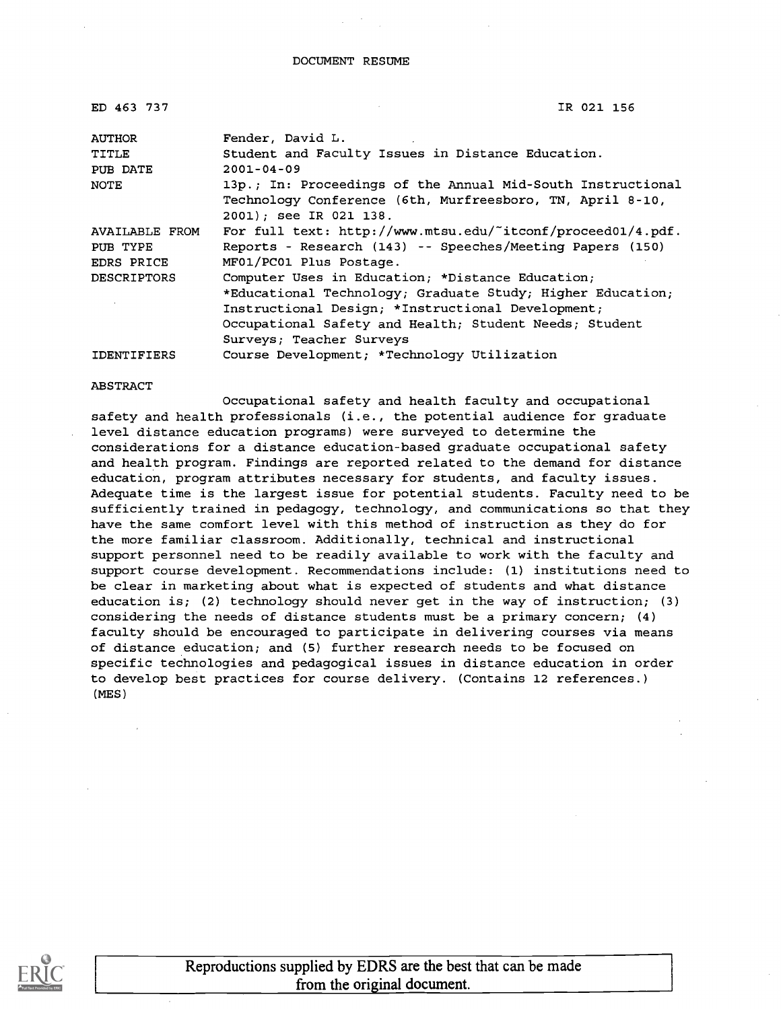#### DOCUMENT RESUME

| ED 463 737         | IR 021 156                                                    |
|--------------------|---------------------------------------------------------------|
| <b>AUTHOR</b>      | Fender, David L.                                              |
| TITLE              | Student and Faculty Issues in Distance Education.             |
| PUB DATE           | $2001 - 04 - 09$                                              |
| NOTE               | 13p.; In: Proceedings of the Annual Mid-South Instructional   |
|                    | Technology Conference (6th, Murfreesboro, TN, April 8-10,     |
|                    | 2001); see IR 021 138.                                        |
| AVAILABLE FROM     | For full text: $http://www.mtsu.edu/~itconf/proceed01/4.pdf.$ |
| PUB TYPE           | Reports - Research (143) -- Speeches/Meeting Papers (150)     |
| EDRS PRICE         | MF01/PC01 Plus Postage.                                       |
| <b>DESCRIPTORS</b> | Computer Uses in Education; *Distance Education;              |
|                    | *Educational Technology; Graduate Study; Higher Education;    |
|                    | Instructional Design; *Instructional Development;             |
|                    | Occupational Safety and Health; Student Needs; Student        |
|                    | Surveys; Teacher Surveys                                      |
| <b>IDENTIFIERS</b> | Course Development; *Technology Utilization                   |

#### ABSTRACT

Occupational safety and health faculty and occupational safety and health professionals (i.e., the potential audience for graduate level distance education programs) were surveyed to determine the considerations for a distance education-based graduate occupational safety and health program. Findings are reported related to the demand for distance education, program attributes necessary for students, and faculty issues. Adequate time is the largest issue for potential students. Faculty need to be sufficiently trained in pedagogy, technology, and communications so that they have the same comfort level with this method of instruction as they do for the more familiar classroom. Additionally, technical and instructional support personnel need to be readily available to work with the faculty and support course development. Recommendations include: (1) institutions need to be clear in marketing about what is expected of students and what distance education is; (2) technology should never get in the way of instruction; (3) considering the needs of distance students must be a primary concern; (4) faculty should be encouraged to participate in delivering courses via means of distance education; and (5) further research needs to be focused on specific technologies and pedagogical issues in distance education in order to develop best practices for course delivery. (Contains 12 references.) (MES)

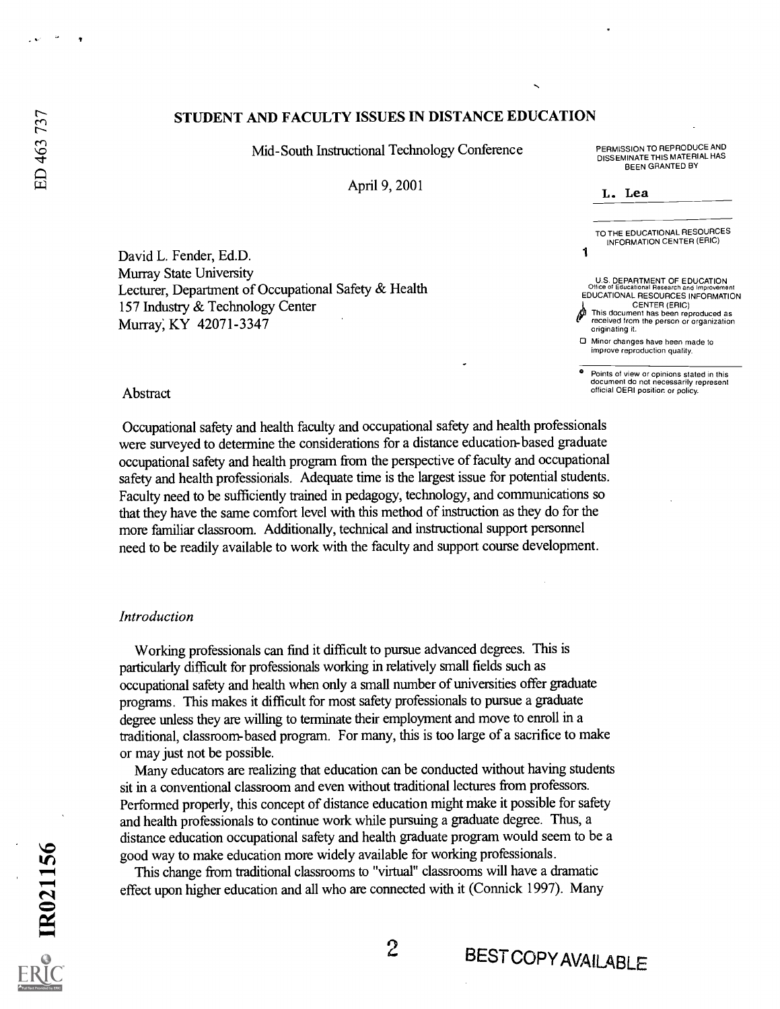# STUDENT AND FACULTY ISSUES IN DISTANCE EDUCATION

Mid-South Instructional Technology Conference

April 9, 2001

David L. Fender, Ed.D. Murray State University Lecturer, Department of Occupational Safety & Health 157 Industry & Technology Center Murray; KY 42071-3347

PERMISSION TO REPRODUCE AND DISSEMINATE THIS MATERIAL HAS BEEN GRANTED BY

L. Lea

1

TO THE EDUCATIONAL RESOURCES INFORMATION CENTER (ERIC)

U.S. DEPARTMENT OF EDUCATION Office of Educational Research and Improvement EDUCATIONAL RESOURCES INFORMATION

CENTER (ERIC) igh This document has been reproduced as received from the person or organization originating it.

0 Minor changes have been made to improve reproduction quality.

Points of view or opinions stated in this document do not necessarily represent official OERI position or policy.

#### Abstract

Occupational safety and health faculty and occupational safety and health professionals were surveyed to determine the considerations for a distance education-based graduate occupational safety and health program from the perspective of faculty and occupational safety and health professionals. Adequate time is the largest issue for potential students. Faculty need to be sufficiently trained in pedagogy, technology, and communications so that they have the same comfort level with this method of instruction as they do for the more familiar classroom. Additionally, technical and instructional support personnel need to be readily available to work with the faculty and support course development.

## Introduction

Working professionals can find it difficult to pursue advanced degrees. This is particularly difficult for professionals working in relatively small fields such as occupational safety and health when only a small number of universities offer graduate programs. This makes it difficult for most safety professionals to pursue a graduate degree unless they are willing to terminate their employment and move to enroll in a traditional, classroom-based program. For many, this is too large of a sacrifice to make or may just not be possible.

Many educators are realizing that education can be conducted without having students sit in a conventional classroom and even without traditional lectures from professors. Performed properly, this concept of distance education might make it possible for safety and health professionals to continue work while pursuing a graduate degree. Thus, a distance education occupational safety and health graduate program would seem to be a good way to make education more widely available for working professionals.

This change from traditional classrooms to "virtual" classrooms will have a dramatic effect upon higher education and all who are connected with it (Connick 1997). Many

· IR021156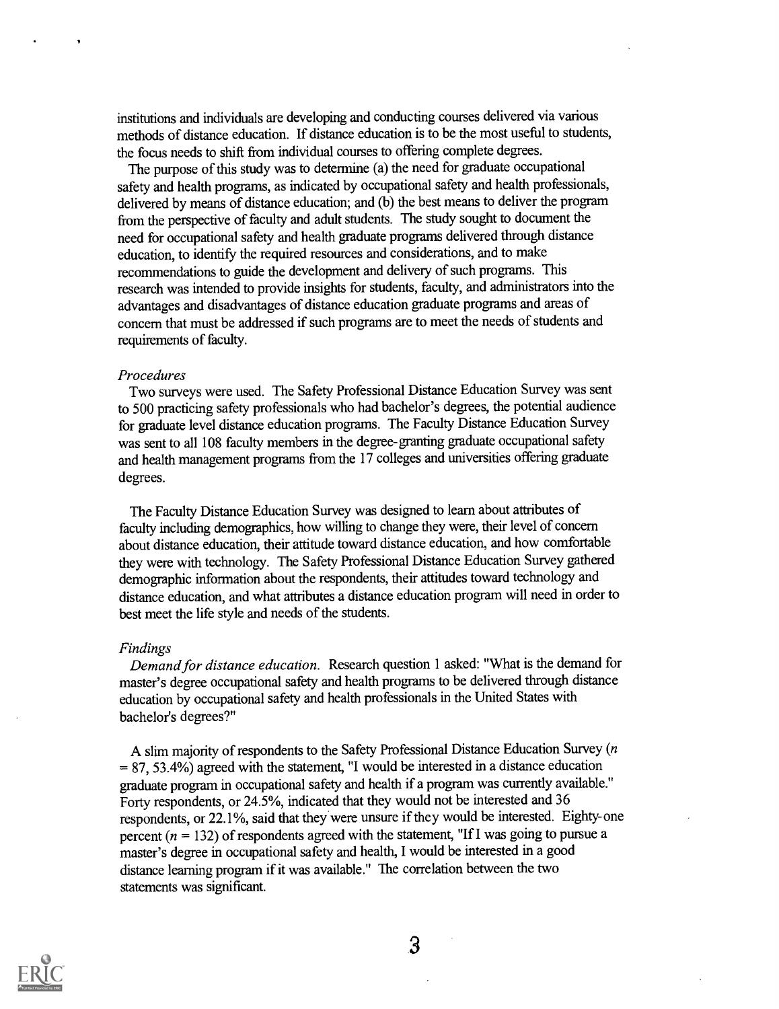institutions and individuals are developing and conducting courses delivered via various methods of distance education. If distance education is to be the most useful to students, the focus needs to shift from individual courses to offering complete degrees.

The purpose of this study was to determine (a) the need for graduate occupational safety and health programs, as indicated by occupational safety and health professionals, delivered by means of distance education; and (b) the best means to deliver the program from the perspective of faculty and adult students. The study sought to document the need for occupational safety and health graduate programs delivered through distance education, to identify the required resources and considerations, and to make recommendations to guide the development and delivery of such programs. This research was intended to provide insights for students, faculty, and administrators into the advantages and disadvantages of distance education graduate programs and areas of concern that must be addressed if such programs are to meet the needs of students and requirements of faculty.

#### Procedures

 $\bullet$ 

Two surveys were used. The Safety Professional Distance Education Survey was sent to 500 practicing safety professionals who had bachelor's degrees, the potential audience for graduate level distance education programs. The Faculty Distance Education Survey was sent to all 108 faculty members in the degree-granting graduate occupational safety and health management programs from the 17 colleges and universities offering graduate degrees.

The Faculty Distance Education Survey was designed to learn about attributes of faculty including demographics, how willing to change they were, their level of concern about distance education, their attitude toward distance education, and how comfortable they were with technology. The Safety Professional Distance Education Survey gathered demographic information about the respondents, their attitudes toward technology and distance education, and what attributes a distance education program will need in order to best meet the life style and needs of the students.

#### Findings

Demand for distance education. Research question 1 asked: "What is the demand for master's degree occupational safety and health programs to be delivered through distance education by occupational safety and health professionals in the United States with bachelor's degrees?"

A slim majority of respondents to the Safety Professional Distance Education Survey (n  $= 87, 53.4%$ ) agreed with the statement, "I would be interested in a distance education graduate program in occupational safety and health if a program was currently available." Forty respondents, or 24.5%, indicated that they would not be interested and 36 respondents, or 22.1%, said that they were unsure if they would be interested. Eighty-one percent ( $n = 132$ ) of respondents agreed with the statement, "If I was going to pursue a master's degree in occupational safety and health, I would be interested in a good distance learning program if it was available." The correlation between the two statements was significant.



З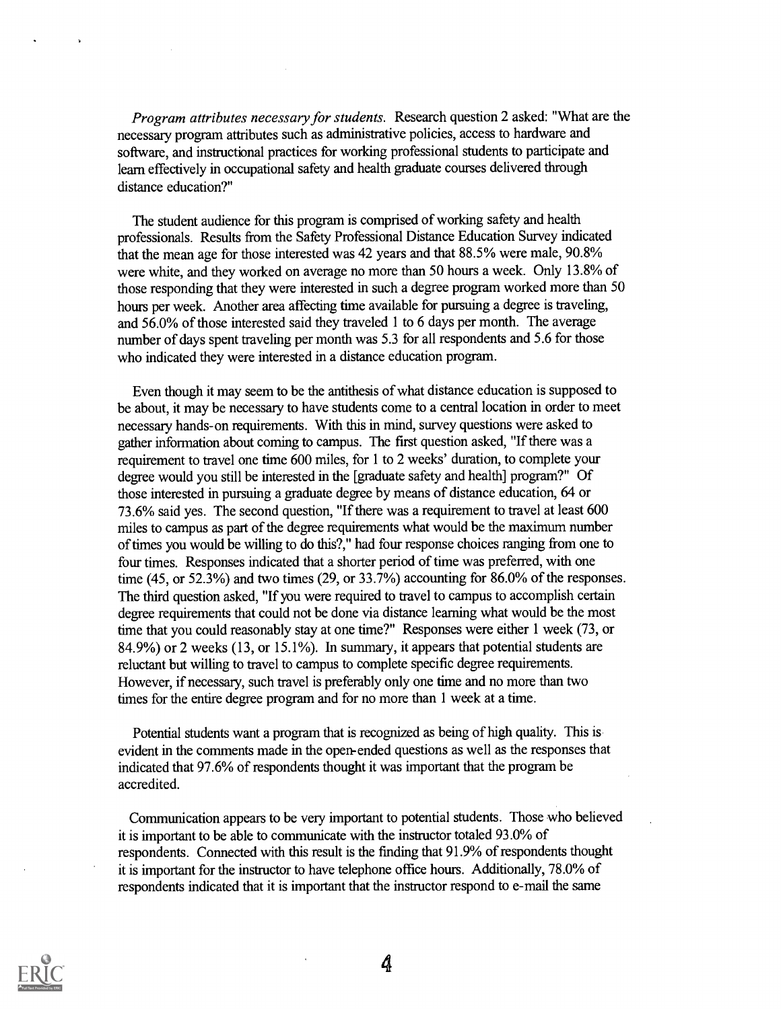Program attributes necessary for students. Research question 2 asked: "What are the necessary program attributes such as administrative policies, access to hardware and software, and instructional practices for working professional students to participate and learn effectively in occupational safety and health graduate courses delivered through distance education?"

The student audience for this program is comprised of working safety and health professionals. Results from the Safety Professional Distance Education Survey indicated that the mean age for those interested was 42 years and that 88.5% were male, 90.8% were white, and they worked on average no more than 50 hours a week. Only 13.8% of those responding that they were interested in such a degree program worked more than 50 hours per week. Another area affecting time available for pursuing a degree is traveling, and 56.0% of those interested said they traveled 1 to 6 days per month. The average number of days spent traveling per month was 5.3 for all respondents and 5.6 for those who indicated they were interested in a distance education program.

Even though it may seem to be the antithesis of what distance education is supposed to be about, it may be necessary to have students come to a central location in order to meet necessary hands-on requirements. With this in mind, survey questions were asked to gather information about coming to campus. The first question asked, "If there was a requirement to travel one time 600 miles, for 1 to 2 weeks' duration, to complete your degree would you still be interested in the [graduate safety and health] program?" Of those interested in pursuing a graduate degree by means of distance education, 64 or 73.6% said yes. The second question, "If there was a requirement to travel at least 600 miles to campus as part of the degree requirements what would be the maximum number of times you would be willing to do this?," had four response choices ranging from one to four times. Responses indicated that a shorter period of time was preferred, with one time (45, or  $52.3\%$ ) and two times (29, or  $33.7\%$ ) accounting for 86.0% of the responses. The third question asked, "If you were required to travel to campus to accomplish certain degree requirements that could not be done via distance learning what would be the most time that you could reasonably stay at one time?" Responses were either 1 week (73, or 84.9%) or 2 weeks (13, or 15.1%). In summary, it appears that potential students are reluctant but willing to travel to campus to complete specific degree requirements. However, if necessary, such travel is preferably only one time and no more than two times for the entire degree program and for no more than 1 week at a time.

Potential students want a program that is recognized as being of high quality. This is evident in the comments made in the open-ended questions as well as the responses that indicated that 97.6% of respondents thought it was important that the program be accredited.

Communication appears to be very important to potential students. Those who believed it is important to be able to communicate with the instructor totaled 93.0% of respondents. Connected with this result is the finding that 91.9% of respondents thought it is important for the instructor to have telephone office hours. Additionally, 78.0% of respondents indicated that it is important that the instructor respond to e-mail the same



4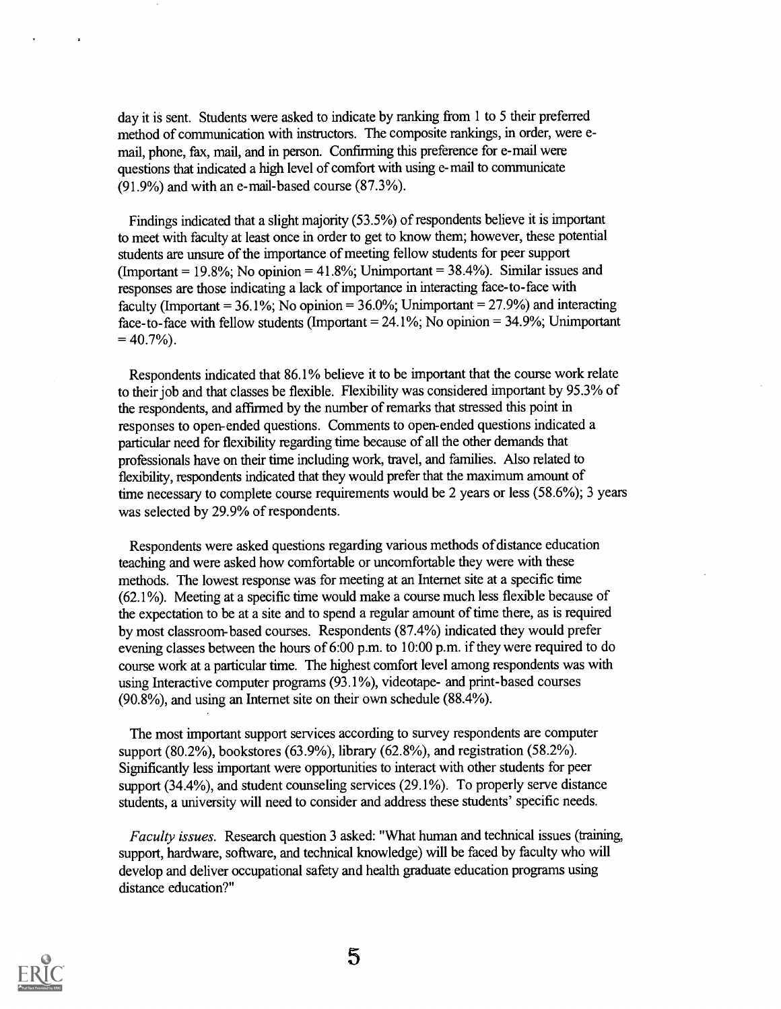day it is sent. Students were asked to indicate by ranking from 1 to 5 their preferred method of communication with instructors. The composite rankings, in order, were email, phone, fax, mail, and in person. Confirming this preference for e-mail were questions that indicated a high level of comfort with using e-mail to communicate (91.9%) and with an e-mail-based course (87.3%).

Findings indicated that a slight majority (53.5%) of respondents believe it is important to meet with faculty at least once in order to get to know them; however, these potential students are unsure of the importance of meeting fellow students for peer support (Important = 19.8%; No opinion = 41.8%; Unimportant =  $38.4\%$ ). Similar issues and responses are those indicating a lack of importance in interacting face-to-face with faculty (Important =  $36.1\%$ ; No opinion =  $36.0\%$ ; Unimportant =  $27.9\%$ ) and interacting face-to-face with fellow students (Important = 24.1%; No opinion = 34.9%; Unimportant  $= 40.7\%$ ).

Respondents indicated that 86.1% believe it to be important that the course work relate to their job and that classes be flexible. Flexibility was considered important by 95.3% of the respondents, and affirmed by the number of remarks that stressed this point in responses to open-ended questions. Comments to open-ended questions indicated a particular need for flexibility regarding time because of all the other demands that professionals have on their time including work, travel, and families. Also related to flexibility, respondents indicated that they would prefer that the maximum amount of time necessary to complete course requirements would be 2 years or less (58.6%); 3 years was selected by 29.9% of respondents.

Respondents were asked questions regarding various methods of distance education teaching and were asked how comfortable or uncomfortable they were with these methods. The lowest response was for meeting at an Internet site at a specific time (62.1%). Meeting at a specific time would make a course much less flexible because of the expectation to be at a site and to spend a regular amount of time there, as is required by most classroom-based courses. Respondents (87.4%) indicated they would prefer evening classes between the hours of 6:00 p.m. to 10:00 p.m. if they were required to do course work at a particular time. The highest comfort level among respondents was with using Interactive computer programs (93.1%), videotape- and print-based courses (90.8%), and using an Internet site on their own schedule (88.4%).

The most important support services according to survey respondents are computer support (80.2%), bookstores (63.9%), library (62.8%), and registration (58.2%). Significantly less important were opportunities to interact with other students for peer support (34.4%), and student counseling services (29.1%). To properly serve distance students, a university will need to consider and address these students' specific needs.

Faculty issues. Research question 3 asked: "What human and technical issues (training, support, hardware, software, and technical knowledge) will be faced by faculty who will develop and deliver occupational safety and health graduate education programs using distance education?"



 $\ddot{\phantom{a}}$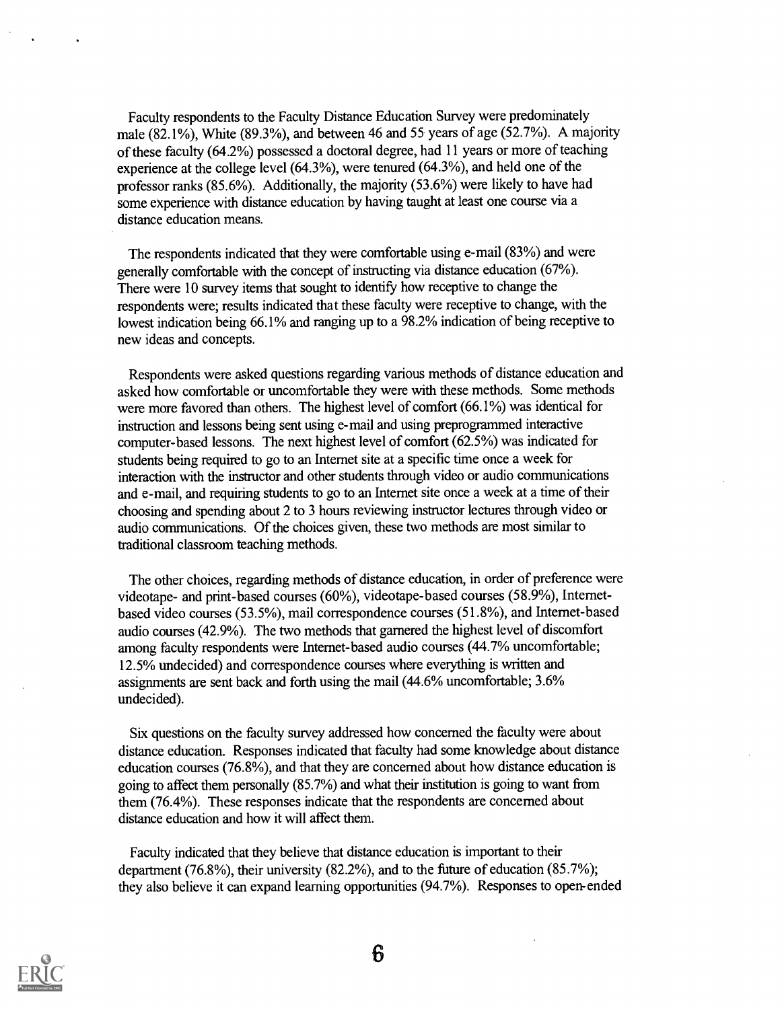Faculty respondents to the Faculty Distance Education Survey were predominately male (82.1%), White (89.3%), and between 46 and 55 years of age (52.7%). A majority of these faculty (64.2%) possessed a doctoral degree, had 11 years or more of teaching experience at the college level (64.3%), were tenured (64.3%), and held one of the professor ranks (85.6%). Additionally, the majority (53.6%) were likely to have had some experience with distance education by having taught at least one course via a distance education means.

The respondents indicated that they were comfortable using e-mail (83%) and were generally comfortable with the concept of instucting via distance education (67%). There were 10 survey items that sought to identify how receptive to change the respondents were; results indicated that these faculty were receptive to change, with the lowest indication being 66.1% and ranging up to a 98.2% indication of being receptive to new ideas and concepts.

Respondents were asked questions regarding various methods of distance education and asked how comfortable or uncomfortable they were with these methods. Some methods were more favored than others. The highest level of comfort (66.1%) was identical for instruction and lessons being sent using e-mail and using preprogrammed interactive computer-based lessons. The next highest level of comfort (62.5%) was indicated for students being required to go to an Internet site at a specific time once a week for interaction with the instructor and other students through video or audio communications and e-mail, and requiring students to go to an Internet site once a week at a time of their choosing and spending about 2 to 3 hours reviewing instructor lectures through video or audio communications. Of the choices given, these two methods are most similar to traditional classroom teaching methods.

The other choices, regarding methods of distance education, in order of preference were videotape- and print-based courses (60%), videotape-based courses (58.9%), Internetbased video courses (53.5%), mail correspondence courses (51.8%), and Internet-based audio courses (42.9%). The two methods that garnered the highest level of discomfort among faculty respondents were Internet-based audio courses (44.7% uncomfortable; 12.5% undecided) and correspondence courses where everything is written and assignments are sent back and forth using the mail (44.6% uncomfortable; 3.6% undecided).

Six questions on the faculty survey addressed how concerned the faculty were about distance education. Responses indicated that faculty had some knowledge about distance education courses (76.8%), and that they are concerned about how distance education is going to affect them personally (85.7%) and what their institution is going to want from them (76.4%). These responses indicate that the respondents are concerned about distance education and how it will affect them.

Faculty indicated that they believe that distance education is important to their department (76.8%), their university (82.2%), and to the future of education (85.7%); they also believe it can expand learning opportunities (94.7%). Responses to open-ended

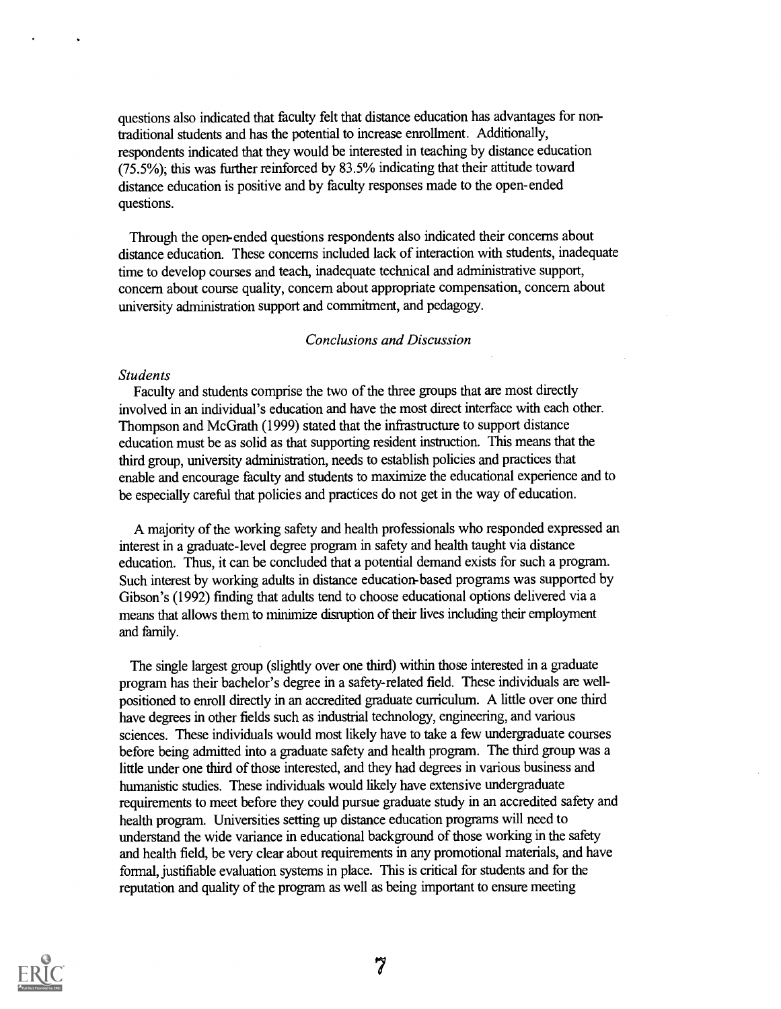questions also indicated that faculty felt that distance education has advantages for nontraditional students and has the potential to increase enrollment. Additionally, respondents indicated that they would be interested in teaching by distance education (75.5%); this was further reinforced by 83.5% indicating that their attitude toward distance education is positive and by faculty responses made to the open-ended questions.

Through the open-ended questions respondents also indicated their concerns about distance education. These concerns included lack of interaction with students, inadequate time to develop courses and teach, inadequate technical and administrative support, concern about course quality, concern about appropriate compensation, concern about university administration support and commitment, and pedagogy.

#### Conclusions and Discussion

#### Students

Faculty and students comprise the two of the three groups that are most directly involved in an individual's education and have the most direct interface with each other. Thompson and McGrath (1999) stated that the infrastructure to support distance education must be as solid as that supporting resident instruction. This means that the third group, university administration, needs to establish policies and practices that enable and encourage faculty and students to maximize the educational experience and to be especially careful that policies and practices do not get in the way of education.

A majority of the working safety and health professionals who responded expressed an interest in a graduate-level degree program in safety and health taught via distance education. Thus, it can be concluded that a potential demand exists for such a program. Such interest by working adults in distance education-based programs was supported by Gibson's (1992) finding that adults tend to choose educational options delivered via a means that allows them to minimize disruption of their lives including their employment and family.

The single largest group (slightly over one third) within those interested in a graduate program has their bachelor's degree in a safety-related field. These individuals are wellpositioned to enroll directly in an accredited graduate curriculum. A little over one third have degrees in other fields such as industrial technology, engineering, and various sciences. These individuals would most likely have to take a few undergraduate courses before being admitted into a graduate safety and health program. The third group was a little under one third of those interested, and they had degrees in various business and humanistic studies. These individuals would likely have extensive undergraduate requirements to meet before they could pursue graduate study in an accredited safety and health program. Universities setting up distance education programs will need to understand the wide variance in educational background of those working in the safety and health field, be very clear about requirements in any promotional materials, and have formal, justifiable evaluation systems in place. This is critical for students and for the reputation and quality of the program as well as being important to ensure meeting

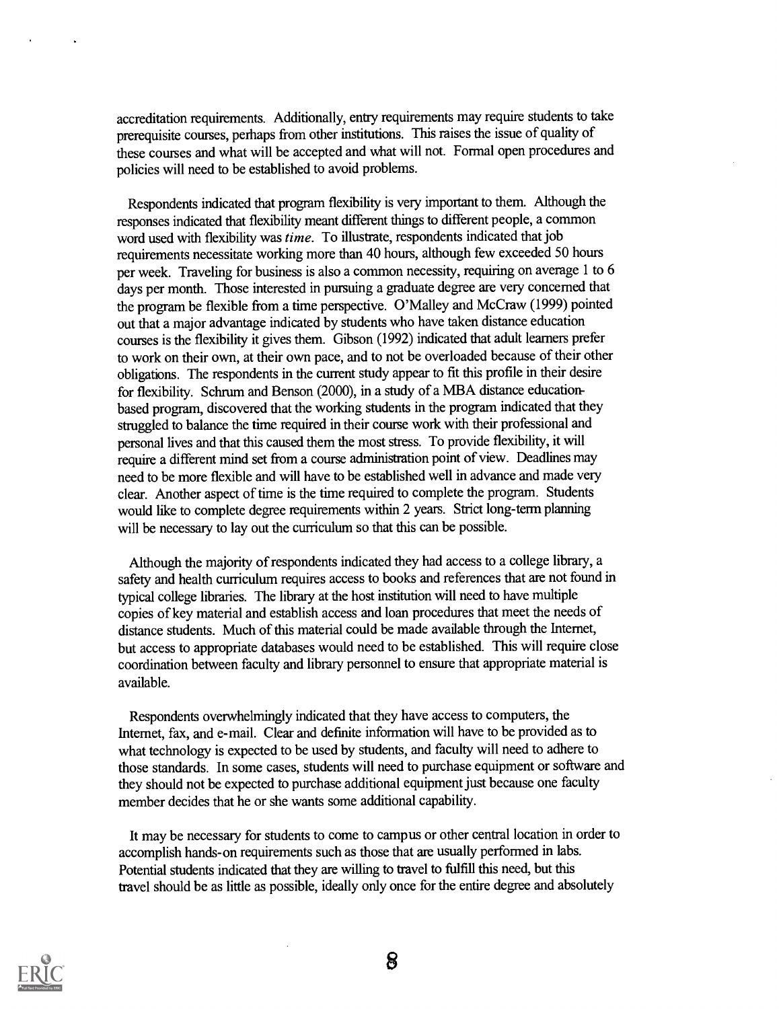accreditation requirements. Additionally, entry requirements may require students to take prerequisite courses, perhaps from other institutions. This raises the issue of quality of these courses and what will be accepted and what will not. Formal open procedures and policies will need to be established to avoid problems.

Respondents indicated that program flexibility is very important to them. Although the responses indicated that flexibility meant different things to different people, a common word used with flexibility was time. To illustrate, respondents indicated that job requirements necessitate working more than 40 hours, although few exceeded 50 hours per week. Traveling for business is also a common necessity, requiring on average 1 to 6 days per month. Those interested in pursuing a graduate degree are very concerned that the program be flexible from a time perspective. O'Malley and McCraw (1999) pointed out that a major advantage indicated by students who have taken distance education courses is the flexibility it gives them. Gibson (1992) indicated that adult learners prefer to work on their own, at their own pace, and to not be overloaded because of their other obligations. The respondents in the current study appear to fit this profile in their desire for flexibility. Schrum and Benson (2000), in a study of a MBA distance educationbased program, discovered that the working students in the program indicated that they struggled to balance the time required in their course work with their professional and personal lives and that this caused them the most stress. To provide flexibility, it will require a different mind set from a course administration point of view. Deadlines may need to be more flexible and will have to be established well in advance and made very clear. Another aspect of time is the time required to complete the program. Students would like to complete degree requirements within 2 years. Strict long-term planning will be necessary to lay out the curriculum so that this can be possible.

Although the majority of respondents indicated they had access to a college library, a safety and health curriculum requires access to books and references that are not found in typical college libraries. The library at the host institution will need to have multiple copies of key material and establish access and loan procedures that meet the needs of distance students. Much of this material could be made available through the Internet, but access to appropriate databases would need to be established. This will require close coordination between faculty and library personnel to ensure that appropriate material is available.

Respondents overwhelmingly indicated that they have access to computers, the Internet, fax, and e-mail. Clear and defmite information will have to be provided as to what technology is expected to be used by students, and faculty will need to adhere to those standards. In some cases, students will need to purchase equipment or software and they should not be expected to purchase additional equipment just because one faculty member decides that he or she wants some additional capability.

It may be necessary for students to come to campus or other central location in order to accomplish hands-on requirements such as those that are usually performed in labs. Potential students indicated that they are willing to travel to fulfill this need, but this travel should be as little as possible, ideally only once for the entire degree and absolutely



8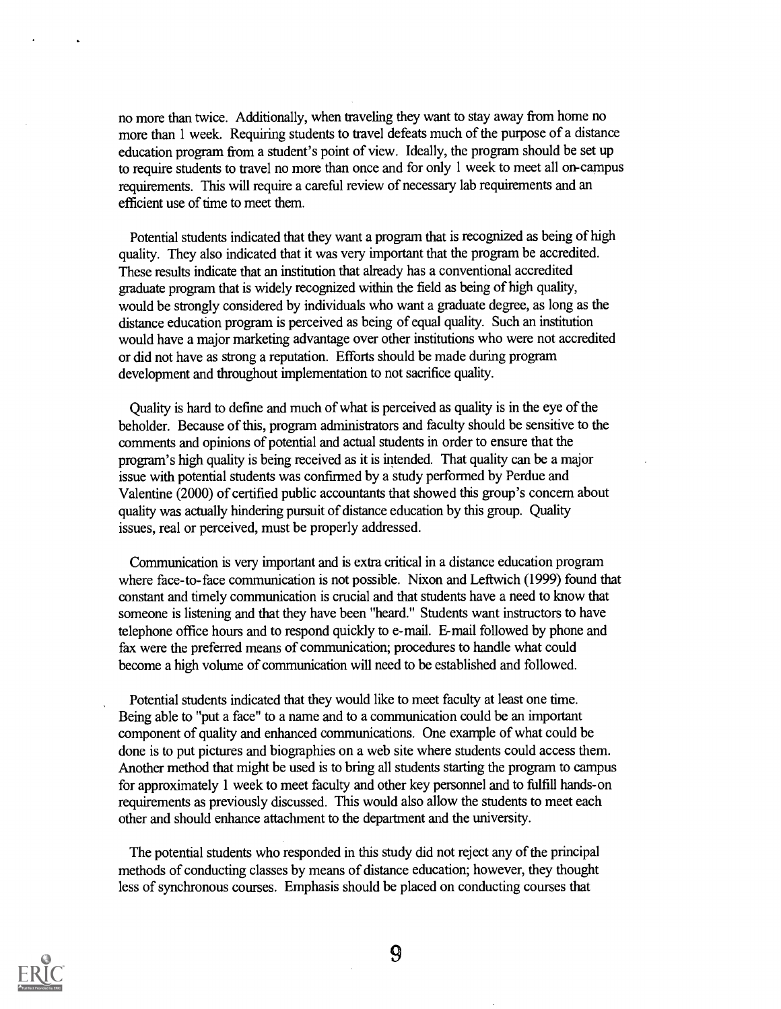no more than twice. Additionally, when traveling they want to stay away from home no more than 1 week. Requiring students to travel defeats much of the purpose of a distance education program from a student's point of view. Ideally, the program should be set up to require students to travel no more than once and for only 1 week to meet all on-campus requirements. This will require a careful review of necessary lab requirements and an efficient use of time to meet them.

Potential students indicated that they want a program that is recognized as being of high quality. They also indicated that it was very important that the program be accredited. These results indicate that an institution that already has a conventional accredited graduate program that is widely recognized within the field as being of high quality, would be strongly considered by individuals who want a graduate degree, as long as the distance education program is perceived as being of equal quality. Such an institution would have a major marketing advantage over other institutions who were not accredited or did not have as strong a reputation. Efforts should be made during program development and throughout implementation to not sacrifice quality.

Quality is hard to define and much of what is perceived as quality is in the eye of the beholder. Because of this, program administrators and faculty should be sensitive to the comments and opinions of potential and actual students in order to ensure that the program's high quality is being received as it is intended. That quality can be a major issue with potential students was confirmed by a study performed by Perdue and Valentine (2000) of certified public accountants that showed this group's concern about quality was actually hindering pursuit of distance education by this group. Quality issues, real or perceived, must be properly addressed.

Communication is very important and is extra critical in a distance education program where face-to-face communication is not possible. Nixon and Leftwich (1999) found that constant and timely communication is cmcial and that students have a need to know that someone is listening and that they have been "heard." Students want instructors to have telephone office hours and to respond quickly to e-mail. &mail followed by phone and fax were the preferred means of communication; procedures to handle what could become a high volume of communication will need to be established and followed.

Potential students indicated that they would like to meet faculty at least one time. Being able to "put a face" to a name and to a communication could be an important component of quality and enhanced communications. One example of what could be done is to put pictures and biographies on a web site where students could access them. Another method that might be used is to bring all students starting the program to campus for approximately 1 week to meet faculty and other key personnel and to fulfill hands-on requirements as previously discussed. This would also allow the students to meet each other and should enhance attachment to the department and the university.

The potential students who responded in this study did not reject any of the principal methods of conducting classes by means of distance education; however, they thought less of synchronous courses. Emphasis should be placed on conducting courses that



9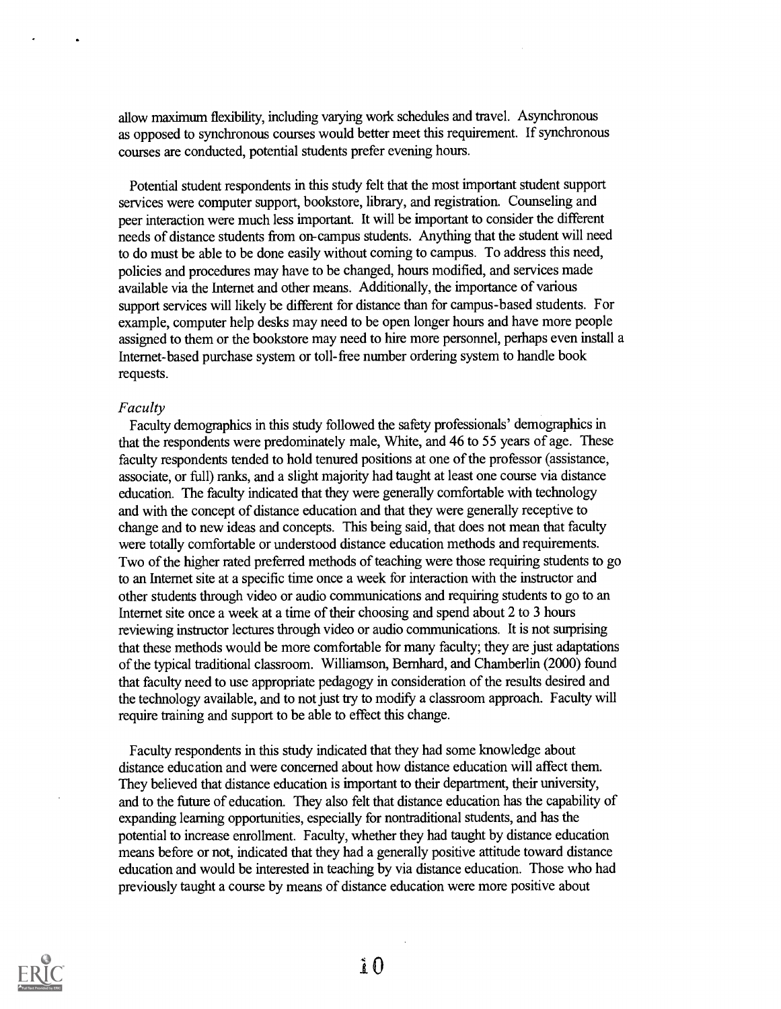allow maximum flexibility, including varying work schedules and travel. Asynchronous as opposed to synchronous courses would better meet this requirement. If synchronous courses are conducted, potential students prefer evening hours.

Potential student respondents in this study felt that the most important student support services were computer support, bookstore, library, and registration. Counseling and peer interaction were much less important. It will be important to consider the different needs of distance students from on-campus students. Anything that the student will need to do must be able to be done easily without coming to campus. To address this need, policies and procedures may have to be changed, hours modified, and services made available via the Internet and other means. Additionally, the importance of various support services will likely be different for distance than for campus-based students. For example, computer help desks may need to be open longer hours and have more people assigned to them or the bookstore may need to hire more personnel, perhaps even install a Internet-based purchase system or toll-free number ordering system to handle book requests.

#### Faculty

Faculty demographics in this study followed the safety professionals' demographics in that the respondents were predominately male, White, and 46 to 55 years of age. These faculty respondents tended to hold tenured positions at one of the professor (assistance, associate, or full) ranks, and a slight majority had taught at least one course via distance education. The faculty indicated that they were generally comfortable with technology and with the concept of distance education and that they were generally receptive to change and to new ideas and concepts. This being said, that does not mean that faculty were totally comfortable or understood distance education methods and requirements. Two of the higher rated preferred methods of teaching were those requiring students to go to an Internet site at a specific time once a week for interaction with the instructor and other students through video or audio communications and requiring students to go to an Internet site once a week at a time of their choosing and spend about 2 to 3 hours reviewing instructor lectures through video or audio communications. It is not surprising that these methods would be more comfortable for many faculty; they are just adaptations of the typical traditional classroom. Williamson, Bernhard, and Chamberlin (2000) found that faculty need to use appropriate pedagogy in consideration of the results desired and the technology available, and to not just try to modify a classroom approach. Faculty will require training and support to be able to effect this change.

Faculty respondents in this study indicated that they had some knowledge about distance education and were concerned about how distance education will affect them. They believed that distance education is important to their department, their university, and to the future of education. They also felt that distance education has the capability of expanding learning opportunities, especially for nontraditional students, and has the potential to increase enrollment. Faculty, whether they had taught by distance education means before or not, indicated that they had a generally positive attitude toward distance education and would be interested in teaching by via distance education. Those who had previously taught a course by means of distance education were more positive about



 $\hat{i}$   $\hat{0}$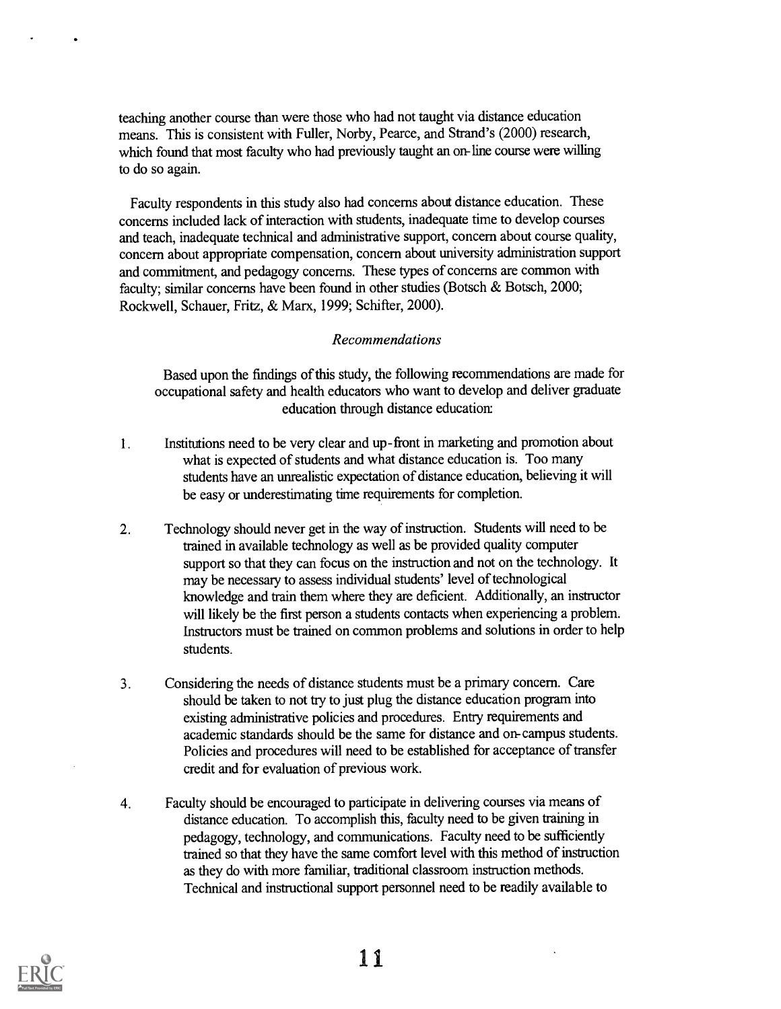teaching another course than were those who had not taught via distance education means. This is consistent with Fuller, Norby, Pearce, and Strand's (2000) research, which found that most faculty who had previously taught an on-line course were willing to do so again.

Faculty respondents in this study also had concerns about distance education. These concerns included lack of interaction with students, inadequate time to develop courses and teach, inadequate technical and administrative support, concern about course quality, concern about appropriate compensation, concern about university administration support and commitment, and pedagogy concerns. These types of concerns are common with faculty; similar concerns have been found in other studies (Botsch & Botsch, 2000; Rockwell, Schauer, Fritz, & Marx, 1999; Schifter, 2000).

### Recommendations

Based upon the findings of this study, the following recommendations are made for occupational safety and health educators who want to develop and deliver graduate education through distance education

- 1. Institutions need to be very clear and up-front in marketing and promotion about what is expected of students and what distance education is. Too many students have an unrealistic expectation of distance education, believing it will be easy or underestimating time requirements for completion.
- 2. Technology should never get in the way of instruction. Students will need to be trained in available technology as well as be provided quality computer support so that they can focus on the instruction and not on the technology. It may be necessary to assess individual students' level of technological knowledge and train them where they are deficient. Additionally, an instructor will likely be the first person a students contacts when experiencing a problem. Instructors must be trained on common problems and solutions in order to help students.
- 3. Considering the needs of distance students must be a primary concern. Care should be taken to not try to just plug the distance education program into existing administrative policies and procedures. Entry requirements and academic standards should be the same for distance and on-campus students. Policies and procedures will need to be established for acceptance of transfer credit and for evaluation of previous work.
- 4. Faculty should be encouraged to participate in delivering courses via means of distance education. To accomplish this, faculty need to be given training in pedagogy, technology, and communications. Faculty need to be sufficiently trained so that they have the same comfort level with this method of instruction as they do with more familiar, traditional classroom instruction methods. Technical and instructional support personnel need to be readily available to

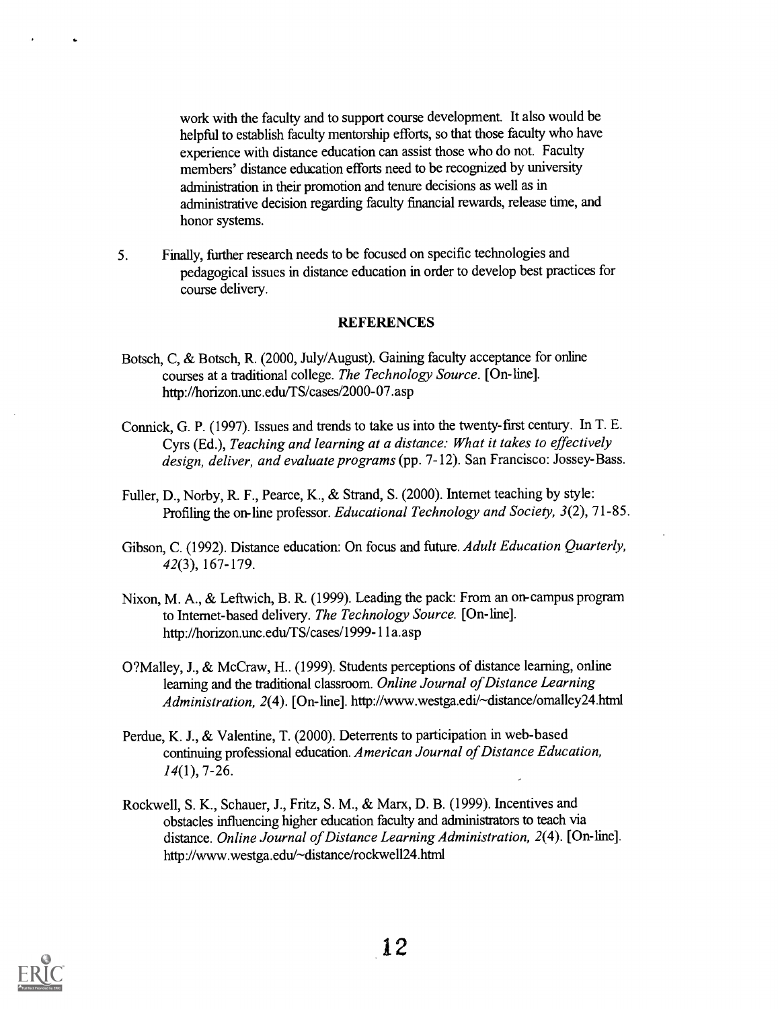work with the faculty and to support course development. It also would be helpful to establish faculty mentorship efforts, so that those faculty who have experience with distance education can assist those who do not. Faculty members' distance education efforts need to be recognized by university administration in their promotion and tenure decisions as well as in administrative decision regarding faculty financial rewards, release time, and honor systems.

5. Finally, further research needs to be focused on specific technologies and pedagogical issues in distance education in order to develop best practices for course delivery.

# **REFERENCES**

- Botsch, C, & Botsch, R. (2000, July/August). Gaining faculty acceptance for online courses at a traditional college. The Technology Source. [On-line]. http://horizon.unc.edu/TS/cases/2000-07.asp
- Connick, G. P. (1997). Issues and trends to take us into the twenty-first century. In T. E. Cyrs (Ed.), Teaching and learning at a distance: What it takes to effectively design, deliver, and evaluate programs (pp. 7-12). San Francisco: Jossey-Bass.
- Fuller, D., Norby, R. F., Pearce, K., & Strand, S. (2000). Internet teaching by style: Profiling the on-line professor. Educational Technology and Society, 3(2), 71-85.
- Gibson, C. (1992). Distance education: On focus and future. Adult Education Quarterly, 42(3), 167-179.
- Nixon, M. A., & Leftwich, B. R. (1999). Leading the pack: From an on-campus program to Internet-based delivery. The Technology Source. [On-line]. http://horizon.unc.edu/TS/cases/1999- lla. asp
- 0?Malley, J., & McCraw, H.. (1999). Students perceptions of distance learning, online learning and the traditional classroom. Online Journal of Distance Learning Administration, 2(4). [On-line]. http://www.westga.edi/~distance/omalley24.html
- Perdue, K. J., & Valentine, T. (2000). Deterrents to participation in web-based continuing professional education. American Journal of Distance Education, 14(1), 7-26.
- Rockwell, S. K., Schauer, J., Fritz, S. M., & Marx, D. B. (1999). Incentives and obstacles influencing higher education faculty and administrators to teach via distance. Online Journal of Distance Learning Administration, 2(4). [On-line]. http://www.westga.edu/~distance/rockwell24.html

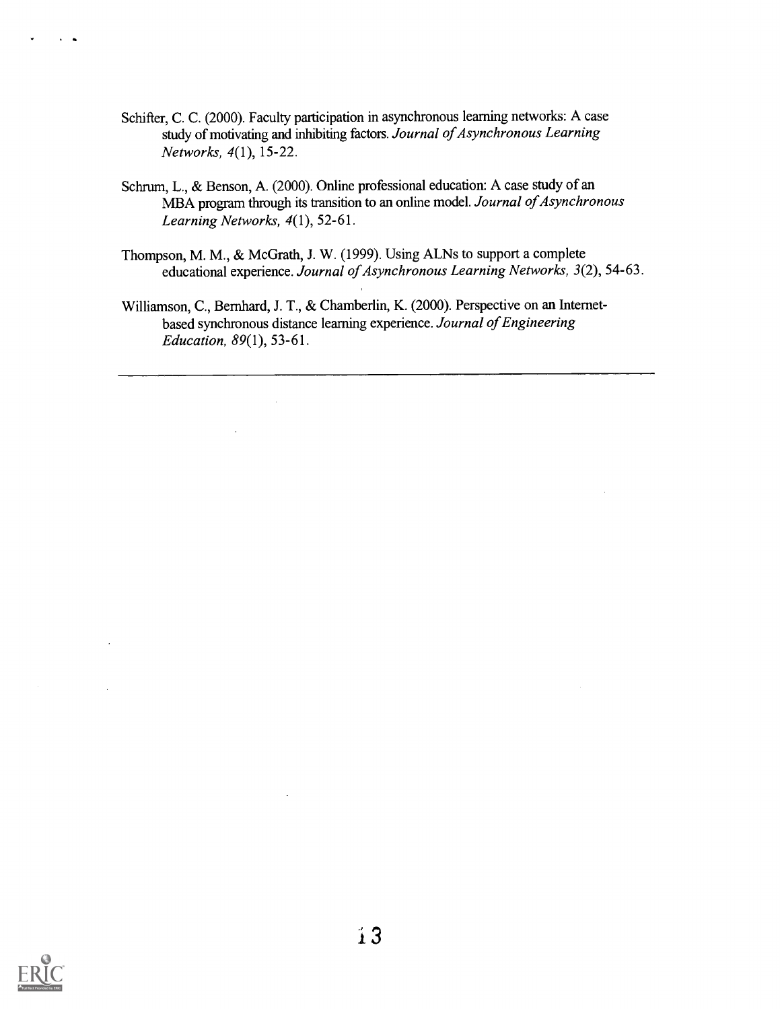- Schifter, C. C. (2000). Faculty participation in asynchronous learning networks: A case study of motivating and inhibiting factors. Journal of Asynchronous Learning Networks, 4(1), 15-22.
- Schrum, L., & Benson, A. (2000). Online professional education: A case study of an MBA program through its transition to an online model. Journal of Asynchronous Learning Networks, 4(1), 52-61.
- Thompson, M. M., & McGrath, J. W. (1999). Using ALNs to support a complete educational experience. Journal of Asynchronous Learning Networks, 3(2), 54-63.
- Williamson, C., Bernhard, J. T., & Chamberlin, K. (2000). Perspective on an Internetbased synchronous distance learning experience. Journal of Engineering Education, 89(1), 53-61.

 $\hat{\mathcal{L}}$ 



 $\sim$   $\sim$